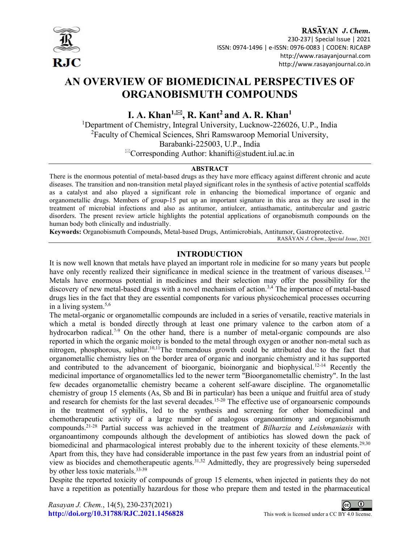

# RASAYAN J. Chem.

 230-237| Special Issue | 2021 ISSN: 0974-1496 | e-ISSN: 0976-0083 | CODEN: RJCABP http://www.rasayanjournal.com http://www.rasayanjournal.co.in

# AN OVERVIEW OF BIOMEDICINAL PERSPECTIVES OF ORGANOBISMUTH COMPOUNDS

I. A. Khan<sup>1, $\boxtimes$ </sup>, R. Kant<sup>2</sup> and A. R. Khan<sup>1</sup>

<sup>1</sup>Department of Chemistry, Integral University, Lucknow-226026, U.P., India <sup>2</sup>Faculty of Chemical Sciences, Shri Ramswaroop Memorial University, Barabanki-225003, U.P., India  ${}^{\boxtimes}$ Corresponding Author: khanifti@student.iul.ac.in

#### ABSTRACT

There is the enormous potential of metal-based drugs as they have more efficacy against different chronic and acute diseases. The transition and non-transition metal played significant roles in the synthesis of active potential scaffolds as a catalyst and also played a significant role in enhancing the biomedical importance of organic and organometallic drugs. Members of group-15 put up an important signature in this area as they are used in the treatment of microbial infections and also as antitumor, antiulcer, antiasthamatic, antitubercular and gastric disorders. The present review article highlights the potential applications of organobismuth compounds on the human body both clinically and industrially.

Keywords: Organobismuth Compounds, Metal-based Drugs, Antimicrobials, Antitumor, Gastroprotective.

RASĀYAN J. Chem., Special Issue, 2021

# INTRODUCTION

It is now well known that metals have played an important role in medicine for so many years but people have only recently realized their significance in medical science in the treatment of various diseases.<sup>1,2</sup> Metals have enormous potential in medicines and their selection may offer the possibility for the discovery of new metal-based drugs with a novel mechanism of action.3,4 The importance of metal-based drugs lies in the fact that they are essential components for various physicochemical processes occurring in a living system.5,6

The metal-organic or organometallic compounds are included in a series of versatile, reactive materials in which a metal is bonded directly through at least one primary valence to the carbon atom of a hydrocarbon radical.<sup>7-9</sup> On the other hand, there is a number of metal-organic compounds are also reported in which the organic moiety is bonded to the metal through oxygen or another non-metal such as nitrogen, phosphorous, sulphur.<sup>10,11</sup>The tremendous growth could be attributed due to the fact that organometallic chemistry lies on the border area of organic and inorganic chemistry and it has supported and contributed to the advancement of bioorganic, bioinorganic and biophysical.12-14 Recently the medicinal importance of organometallics led to the newer term "Bioorganometallic chemistry". In the last few decades organometallic chemistry became a coherent self-aware discipline. The organometallic chemistry of group 15 elements (As, Sb and Bi in particular) has been a unique and fruitful area of study and research for chemists for the last several decades.<sup>15-20</sup> The effective use of organoarsenic compounds in the treatment of syphilis, led to the synthesis and screening for other biomedicinal and chemotherapeutic activity of a large number of analogous organoantimony and organobismuth compounds.<sup>21-28</sup> Partial success was achieved in the treatment of *Bilharzia* and *Leishmaniasis* with organoantimony compounds although the development of antibiotics has slowed down the pack of biomedicinal and pharmacological interest probably due to the inherent toxicity of these elements.<sup>29,30</sup> Apart from this, they have had considerable importance in the past few years from an industrial point of view as biocides and chemotherapeutic agents.<sup>31,32</sup> Admittedly, they are progressively being superseded by other less toxic materials.33-39

Despite the reported toxicity of compounds of group 15 elements, when injected in patients they do not have a repetition as potentially hazardous for those who prepare them and tested in the pharmaceutical

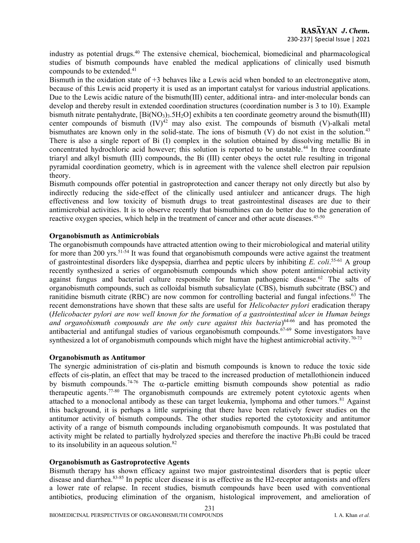industry as potential drugs.<sup>40</sup> The extensive chemical, biochemical, biomedicinal and pharmacological studies of bismuth compounds have enabled the medical applications of clinically used bismuth compounds to be extended.<sup>41</sup>

Bismuth in the oxidation state of +3 behaves like a Lewis acid when bonded to an electronegative atom, because of this Lewis acid property it is used as an important catalyst for various industrial applications. Due to the Lewis acidic nature of the bismuth(III) center, additional intra- and inter-molecular bonds can develop and thereby result in extended coordination structures (coordination number is 3 to 10). Example bismuth nitrate pentahydrate,  $[BiNO_3)_3.5H_2O]$  exhibits a ten coordinate geometry around the bismuth(III) center compounds of bismuth  $(IV)^{42}$  may also exist. The compounds of bismuth (V)-alkali metal bismuthates are known only in the solid-state. The ions of bismuth  $(V)$  do not exist in the solution.<sup>43</sup> There is also a single report of Bi (I) complex in the solution obtained by dissolving metallic Bi in concentrated hydrochloric acid however; this solution is reported to be unstable.<sup>44</sup> In three coordinate triaryl and alkyl bismuth (III) compounds, the Bi (III) center obeys the octet rule resulting in trigonal pyramidal coordination geometry, which is in agreement with the valence shell electron pair repulsion theory.

Bismuth compounds offer potential in gastroprotection and cancer therapy not only directly but also by indirectly reducing the side-effect of the clinically used antiulcer and anticancer drugs. The high effectiveness and low toxicity of bismuth drugs to treat gastrointestinal diseases are due to their antimicrobial activities. It is to observe recently that bismuthines can do better due to the generation of reactive oxygen species, which help in the treatment of cancer and other acute diseases.<sup>45-50</sup>

#### Organobismuth as Antimicrobials

The organobismuth compounds have attracted attention owing to their microbiological and material utility for more than 200 yrs.<sup>51-54</sup> It was found that organobismuth compounds were active against the treatment of gastrointestinal disorders like dyspepsia, diarrhea and peptic ulcers by inhibiting E. coli.<sup>55-61</sup> A group recently synthesized a series of organobismuth compounds which show potent antimicrobial activity against fungus and bacterial culture responsible for human pathogenic disease.<sup>62</sup> The salts of organobismuth compounds, such as colloidal bismuth subsalicylate (CBS), bismuth subcitrate (BSC) and ranitidine bismuth citrate (RBC) are now common for controlling bacterial and fungal infections.<sup>63</sup> The recent demonstrations have shown that these salts are useful for *Helicobacter pylori* eradication therapy (Helicobacter pylori are now well known for the formation of a gastrointestinal ulcer in Human beings and organobismuth compounds are the only cure against this bacteria) $64-66$  and has promoted the antibacterial and antifungal studies of various organobismuth compounds.<sup>67-69</sup> Some investigators have synthesized a lot of organobismuth compounds which might have the highest antimicrobial activity.<sup>70-73</sup>

#### Organobismuth as Antitumor

The synergic administration of cis-platin and bismuth compounds is known to reduce the toxic side effects of cis-platin, an effect that may be traced to the increased production of metallothionein induced by bismuth compounds.<sup>74-76</sup> The  $\alpha$ -particle emitting bismuth compounds show potential as radio therapeutic agents.77-80 The organobismuth compounds are extremely potent cytotoxic agents when attached to a monoclonal antibody as these can target leukemia, lymphoma and other tumors.<sup>81</sup> Against this background, it is perhaps a little surprising that there have been relatively fewer studies on the antitumor activity of bismuth compounds. The other studies reported the cytotoxicity and antitumor activity of a range of bismuth compounds including organobismuth compounds. It was postulated that activity might be related to partially hydrolyzed species and therefore the inactive Ph3Bi could be traced to its insolubility in an aqueous solution.<sup>82</sup>

## Organobismuth as Gastroprotective Agents

Bismuth therapy has shown efficacy against two major gastrointestinal disorders that is peptic ulcer disease and diarrhea.83-85 In peptic ulcer disease it is as effective as the H2-receptor antagonists and offers a lower rate of relapse. In recent studies, bismuth compounds have been used with conventional antibiotics, producing elimination of the organism, histological improvement, and amelioration of

231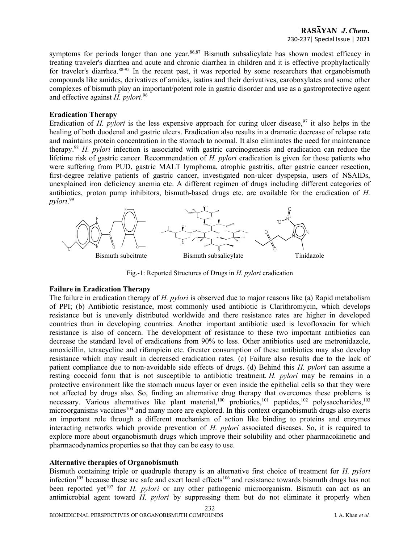symptoms for periods longer than one year.<sup>86,87</sup> Bismuth subsalicylate has shown modest efficacy in treating traveler's diarrhea and acute and chronic diarrhea in children and it is effective prophylactically for traveler's diarrhea.88-95 In the recent past, it was reported by some researchers that organobismuth compounds like amides, derivatives of amides, isatins and their derivatives, caroboxylates and some other complexes of bismuth play an important/potent role in gastric disorder and use as a gastroprotective agent and effective against  $H.$  pylori.<sup>96</sup>

#### Eradication Therapy

Eradication of H. pylori is the less expensive approach for curing ulcer disease,  $97$  it also helps in the healing of both duodenal and gastric ulcers. Eradication also results in a dramatic decrease of relapse rate and maintains protein concentration in the stomach to normal. It also eliminates the need for maintenance therapy.<sup>98</sup> H. pylori infection is associated with gastric carcinogenesis and eradication can reduce the lifetime risk of gastric cancer. Recommendation of H. pylori eradication is given for those patients who were suffering from PUD, gastric MALT lymphoma, atrophic gastritis, after gastric cancer resection, first-degree relative patients of gastric cancer, investigated non-ulcer dyspepsia, users of NSAIDs, unexplained iron deficiency anemia etc. A different regimen of drugs including different categories of antibiotics, proton pump inhibitors, bismuth-based drugs etc. are available for the eradication of H. pylori. 99



Fig.-1: Reported Structures of Drugs in H. pylori eradication

## Failure in Eradication Therapy

The failure in eradication therapy of  $H$ . pylori is observed due to major reasons like (a) Rapid metabolism of PPI; (b) Antibiotic resistance, most commonly used antibiotic is Clarithromycin, which develops resistance but is unevenly distributed worldwide and there resistance rates are higher in developed countries than in developing countries. Another important antibiotic used is levofloxacin for which resistance is also of concern. The development of resistance to these two important antibiotics can decrease the standard level of eradications from 90% to less. Other antibiotics used are metronidazole, amoxicillin, tetracycline and rifampicin etc. Greater consumption of these antibiotics may also develop resistance which may result in decreased eradication rates. (c) Failure also results due to the lack of patient compliance due to non-avoidable side effects of drugs. (d) Behind this H. pylori can assume a resting coccoid form that is not susceptible to antibiotic treatment. H. pylori may be remains in a protective environment like the stomach mucus layer or even inside the epithelial cells so that they were not affected by drugs also. So, finding an alternative drug therapy that overcomes these problems is necessary. Various alternatives like plant material,<sup>100</sup> probiotics,<sup>101</sup> peptides,<sup>102</sup> polysaccharides,<sup>103</sup> microorganisms vaccines<sup>104</sup> and many more are explored. In this context organobismuth drugs also exerts an important role through a different mechanism of action like binding to proteins and enzymes interacting networks which provide prevention of H. pylori associated diseases. So, it is required to explore more about organobismuth drugs which improve their solubility and other pharmacokinetic and pharmacodynamics properties so that they can be easy to use.

## Alternative therapies of Organobismuth

Bismuth containing triple or quadruple therapy is an alternative first choice of treatment for H. pylori infection<sup>105</sup> because these are safe and exert local effects<sup>106</sup> and resistance towards bismuth drugs has not been reported yet<sup>107</sup> for *H. pylori* or any other pathogenic microorganism. Bismuth can act as an antimicrobial agent toward H. *pylori* by suppressing them but do not eliminate it properly when

232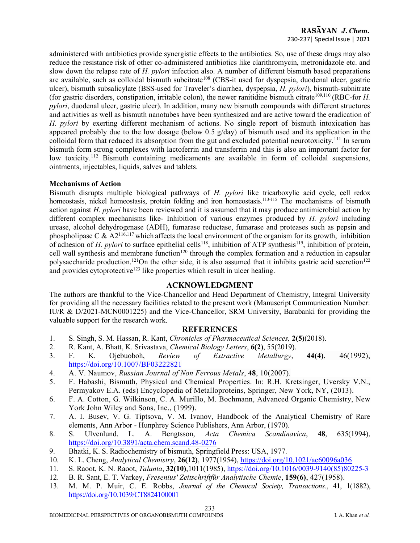# RASAYAN J. Chem. 230-237| Special Issue | 2021

administered with antibiotics provide synergistic effects to the antibiotics. So, use of these drugs may also reduce the resistance risk of other co-administered antibiotics like clarithromycin, metronidazole etc. and slow down the relapse rate of H. *pylori* infection also. A number of different bismuth based preparations are available, such as colloidal bismuth subcitrate<sup>108</sup> (CBS-it used for dyspepsia, duodenal ulcer, gastric ulcer), bismuth subsalicylate (BSS-used for Traveler's diarrhea, dyspepsia, *H. pylori*), bismuth-subnitrate (for gastric disorders, constipation, irritable colon), the newer ranitidine bismuth citrate<sup>109,110</sup> (RBC-for *H*. pylori, duodenal ulcer, gastric ulcer). In addition, many new bismuth compounds with different structures and activities as well as bismuth nanotubes have been synthesized and are active toward the eradication of H. pylori by exerting different mechanism of actions. No single report of bismuth intoxication has appeared probably due to the low dosage (below 0.5  $g$ /day) of bismuth used and its application in the colloidal form that reduced its absorption from the gut and excluded potential neurotoxicity.<sup>111</sup> In serum bismuth form strong complexes with lactoferrin and transferrin and this is also an important factor for low toxicity.<sup>112</sup> Bismuth containing medicaments are available in form of colloidal suspensions, ointments, injectables, liquids, salves and tablets.

#### Mechanisms of Action

Bismuth disrupts multiple biological pathways of H. pylori like tricarboxylic acid cycle, cell redox homeostasis, nickel homeostasis, protein folding and iron homeostasis.<sup>113-115</sup> The mechanisms of bismuth action against  $H.$  pylori have been reviewed and it is assumed that it may produce antimicrobial action by different complex mechanisms like- Inhibition of various enzymes produced by H. pylori including urease, alcohol dehydrogenase (ADH), fumarase reductase, fumarase and proteases such as pepsin and phospholipase C &  $A2^{116,117}$  which affects the local environment of the organism for its growth, inhibition of adhesion of H. pylori to surface epithelial cells<sup>118</sup>, inhibition of ATP synthesis<sup>119</sup>, inhibition of protein, cell wall synthesis and membrane function<sup>120</sup> through the complex formation and a reduction in capsular polysaccharide production.<sup>121</sup>On the other side, it is also assumed that it inhibits gastric acid secretion<sup>122</sup> and provides cytoprotective<sup>123</sup> like properties which result in ulcer healing.

# ACKNOWLEDGMENT

The authors are thankful to the Vice-Chancellor and Head Department of Chemistry, Integral University for providing all the necessary facilities related to the present work (Manuscript Communication Number: IU/R & D/2021-MCN0001225) and the Vice-Chancellor, SRM University, Barabanki for providing the valuable support for the research work.

## **REFERENCES**

- 1. S. Singh, S. M. Hassan, R. Kant, Chronicles of Pharmaceutical Sciences, 2(5)(2018).
- 2. R. Kant, A. Bhatt, K. Srivastava, Chemical Biology Letters, 6(2), 55(2019).
- 3. F. K. Ojebuoboh, Review of Extractive Metallurgy, 44(4), 46(1992), https://doi.org/10.1007/BF03222821
- 4. A. V. Naumov, Russian Journal of Non Ferrous Metals, 48, 10(2007).
- 5. F. Habashi, Bismuth, Physical and Chemical Properties. In: R.H. Kretsinger, Uversky V.N., Permyakov E.A. (eds) Encyclopedia of Metalloproteins, Springer, New York, NY, (2013).
- 6. F. A. Cotton, G. Wilkinson, C. A. Murillo, M. Bochmann, Advanced Organic Chemistry, New York John Wiley and Sons, Inc., (1999).
- 7. A. I. Busev, V. G. Tiptsova, V. M. Ivanov, Handbook of the Analytical Chemistry of Rare elements, Ann Arbor - Hunphrey Science Publishers, Ann Arbor, (1970).
- 8. S. Ulvenlund, L. A. Bengtsson, Acta Chemica Scandinavica, 48, 635(1994), https://doi.org/10.3891/acta.chem.scand.48-0276
- 9. Bhatki, K. S. Radiochemistry of bismuth, Springfield Press: USA, 1977.
- 10. K. L. Cheng, Analytical Chemistry, 26(12), 1977(1954), https://doi.org/10.1021/ac60096a036
- 11. S. Raoot, K. N. Raoot, *Talanta*, 32(10),1011(1985), https://doi.org/10.1016/0039-9140(85)80225-3
- 12. B. R. Sant, E. T. Varkey, Fresenius' Zeitschriftfür Analytische Chemie, 159(6), 427(1958).
- 13. M. M. P. Muir, C. E. Robbs, Journal of the Chemical Society, Transactions., 41, 1(1882), https://doi.org/10.1039/CT8824100001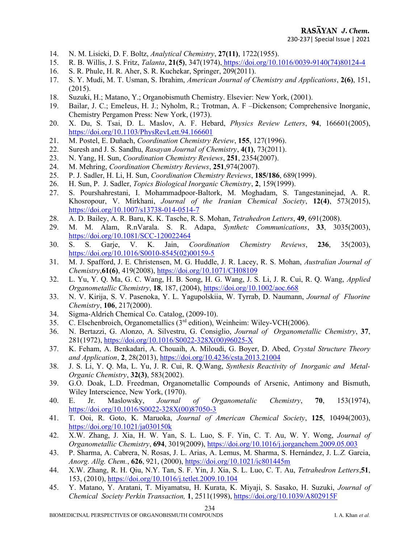- 14. N. M. Lisicki, D. F. Boltz, Analytical Chemistry, 27(11), 1722(1955).
- 15. R. B. Willis, J. S. Fritz, Talanta, 21(5), 347(1974), https://doi.org/10.1016/0039-9140(74)80124-4
- 16. S. R. Phule, H. R. Aher, S. R. Kuchekar, Springer, 209(2011).
- 17. S. Y. Mudi, M. T. Usman, S. Ibrahim, American Journal of Chemistry and Applications, 2(6), 151, (2015).
- 18. Suzuki, H.; Matano, Y.; Organobismuth Chemistry. Elsevier: New York, (2001).
- 19. Bailar, J. C.; EmeIeus, H. J.; Nyholm, R.; Trotman, A. F –Dickenson; Comprehensive Inorganic, Chemistry Pergamon Press: New York, (1973).
- 20. X. Du, S. Tsai, D. L. Maslov, A. F. Hebard, Physics Review Letters, 94, 166601(2005), https://doi.org/10.1103/PhysRevLett.94.166601
- 21. M. Postel, E. Duñach, Coordination Chemistry Review, 155, 127(1996).
- 22. Suresh and J. S. Sandhu, Rasayan Journal of Chemistry, 4(1), 73(2011).
- 23. N. Yang, H. Sun, Coordination Chemistry Reviews, 251, 2354(2007).
- 24. M. Mehring, Coordination Chemistry Reviews, 251,974(2007).
- 25. P. J. Sadler, H. Li, H. Sun, Coordination Chemistry Reviews, 185/186, 689(1999).
- 26. H. Sun, P. J. Sadler, Topics Biological Inorganic Chemistry, 2, 159(1999).
- 27. S. Pourshahrestani, I. Mohammadpoor-Baltork, M. Moghadam, S. Tangestaninejad, A. R. Khosropour, V. Mirkhani, Journal of the Iranian Chemical Society, 12(4), 573(2015), https://doi.org/10.1007/s13738-014-0514-7
- 28. A. D. Bailey, A. R. Baru, K. K. Tasche, R. S. Mohan, Tetrahedron Letters, 49, 691(2008).
- 29. M. M. Alam, R.nVarala. S. R. Adapa, Synthetc Communications, 33, 3035(2003), https://doi.org/10.1081/SCC-120022464
- 30. S. S. Garje, V. K. Jain, Coordination Chemistry Reviews, 236, 35(2003), https://doi.org/10.1016/S0010-8545(02)00159-5
- 31. M. J. Spafford, J. E. Christensen, M. G. Huddle, J. R. Lacey, R. S. Mohan, Australian Journal of Chemistry,61(6), 419(2008), https://doi.org/10.1071/CH08109
- 32. L. Yu, Y. Q. Ma, G. C. Wang, H. B. Song, H. G. Wang, J. S. Li, J. R. Cui, R. Q. Wang, Applied Organometallic Chemistry, 18, 187, (2004), https://doi.org/10.1002/aoc.668
- 33. N. V. Kirija, S. V. Pasenoka, Y. L. Yagupolskiia, W. Tyrrab, D. Naumann, Journal of Fluorine Chemistry, 106, 217(2000).
- 34. Sigma-Aldrich Chemical Co. Catalog, (2009-10).
- 35. C. Elschenbroich, Organometallics (3rd edition), Weinheim: Wiley-VCH(2006).
- 36. N. Bertazzi, G. Alonzo, A. Silvestru, G. Consiglio, Journal of Organometallic Chemistry, 37, 281(1972), https://doi.org/10.1016/S0022-328X(00)96025-X
- 37. K. Feham, A. Benkadari, A. Chouaih, A. Miloudi, G. Boyer, D. Abed, Crystal Structure Theory and Application, 2, 28(2013), https://doi.org/10.4236/csta.2013.21004
- 38. J. S. Li, Y. Q. Ma, L. Yu, J. R. Cui, R. Q.Wang, Synthesis Reactivity of Inorganic and Metal-Organic Chemistry, 32(3), 583(2002).
- 39. G.O. Doak, L.D. Freedman, Organometallic Compounds of Arsenic, Antimony and Bismuth, Wiley Interscience, New York, (1970).
- 40. E. Jr. Maslowsky, Journal of Organometalic Chemistry, 70, 153(1974), https://doi.org/10.1016/S0022-328X(00)87050-3
- 41. T. Ooi, R. Goto, K. Maruoka, Journal of American Chemical Society, 125, 10494(2003), https://doi.org/10.1021/ja030150k
- 42. X.W. Zhang, J. Xia, H. W. Yan, S. L. Luo, S. F. Yin, C. T. Au, W. Y. Wong, Journal of Organometallic Chemistry, 694, 3019(2009), https://doi.org/10.1016/j.jorganchem.2009.05.003
- 43. P. Sharma, A. Cabrera, N. Rosas, J. L. Arias, A. Lemus, M. Sharma, S. Hernández, J. L.Z. Garcia, Anorg. Allg. Chem., 626, 921, (2000), https://doi.org/10.1021/ic801445m
- 44. X.W. Zhang, R. H. Qiu, N.Y. Tan, S. F. Yin, J. Xia, S. L. Luo, C. T. Au, Tetrahedron Letters,51, 153, (2010), https://doi.org/10.1016/j.tetlet.2009.10.104
- 45. Y. Matano, Y. Aratani, T. Miyamatsu, H. Kurata, K. Miyaji, S. Sasako, H. Suzuki, Journal of Chemical Society Perkin Transaction, 1, 2511(1998), https://doi.org/10.1039/A802915F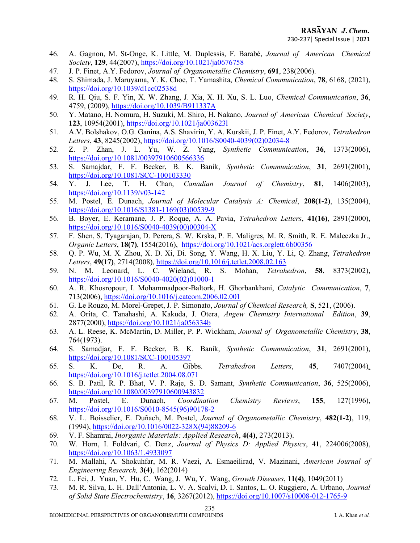- 46. A. Gagnon, M. St-Onge, K. Little, M. Duplessis, F. Barabé, Journal of American Chemical Society, 129, 44(2007), https://doi.org/10.1021/ja0676758
- 47. J. P. Finet, A.Y. Fedorov, Journal of Organometallic Chemistry, 691, 238(2006).
- 48. S. Shimada, J. Maruyama, Y. K. Choe, T. Yamashita, Chemical Communication, 78, 6168, (2021), https://doi.org/10.1039/d1cc02538d
- 49. R. H. Qiu, S. F. Yin, X. W. Zhang, J. Xia, X. H. Xu, S. L. Luo, Chemical Communication, 36, 4759, (2009), https://doi.org/10.1039/B911337A
- 50. Y. Matano, H. Nomura, H. Suzuki, M. Shiro, H. Nakano, Journal of American Chemical Society, 123, 10954(2001), https://doi.org/10.1021/ja003623l
- 51. A.V. Bolshakov, O.G. Ganina, A.S. Shavirin, Y. A. Kurskii, J. P. Finet, A.Y. Fedorov, Tetrahedron Letters, 43, 8245(2002), https://doi.org/10.1016/S0040-4039(02)02034-8
- 52. Z. P. Zhan, J. L. Yu, W. Z. Yang, Synthetic Communication, 36, 1373(2006), https://doi.org/10.1081/00397910600566336
- 53. S. Samajdar, F. F. Becker, B. K. Banik, Synthetic Communication, 31, 2691(2001), https://doi.org/10.1081/SCC-100103330
- 54. Y. J. Lee, T. H. Chan, Canadian Journal of Chemistry, 81, 1406(2003), https://doi.org/10.1139/v03-142
- 55. M. Postel, E. Dunach, Journal of Molecular Catalysis A: Chemical, 208(1-2), 135(2004), https://doi.org/10.1016/S1381-1169(03)00539-9
- 56. B. Boyer, E. Keramane, J. P. Roque, A. A. Pavia, Tetrahedron Letters, 41(16), 2891(2000), https://doi.org/10.1016/S0040-4039(00)00304-X
- 57. F. Shen, S. Tyagarajan, D. Perera, S. W. Krska, P. E. Maligres, M. R. Smith, R. E. Maleczka Jr., Organic Letters, 18(7), 1554(2016), https://doi.org/10.1021/acs.orglett.6b00356
- 58. Q. P. Wu, M. X. Zhou, X. D. Xi, Di. Song, Y. Wang, H. X. Liu, Y. Li, Q. Zhang, Tetrahedron Letters, 49(17), 2714(2008), https://doi.org/10.1016/j.tetlet.2008.02.163
- 59. N. M. Leonard, L. C. Wieland, R. S. Mohan, Tetrahedron, 58, 8373(2002), https://doi.org/10.1016/S0040-4020(02)01000-1
- 60. A. R. Khosropour, I. Mohammadpoor-Baltork, H. Ghorbankhani, Catalytic Communication, 7, 713(2006), https://doi.org/10.1016/j.catcom.2006.02.001
- 61. G. Le Rouzo, M. Morel-Grepet, J. P. Simonato, Journal of Chemical Research, S, 521, (2006).
- 62. A. Orita, C. Tanahashi, A. Kakuda, J. Otera, Angew Chemistry International Edition, 39, 2877(2000), https://doi.org/10.1021/ja056334b
- 63. A. L. Reese, K. McMartin, D. Miller, P. P. Wickham, Journal of Organometallic Chemistry, 38, 764(1973).
- 64. S. Samadjar, F. F. Becker, B. K. Banik, Synthetic Communication, 31, 2691(2001), https://doi.org/10.1081/SCC-100105397
- 65. S. K. De, R. A. Gibbs. Tetrahedron Letters, 45, 7407(2004), https://doi.org/10.1016/j.tetlet.2004.08.071
- 66. S. B. Patil, R. P. Bhat, V. P. Raje, S. D. Samant, Synthetic Communication, 36, 525(2006), https://doi.org/10.1080/00397910600943832
- 67. M. Postel, E. Dunach, Coordination Chemistry Reviews, 155, 127(1996), https://doi.org/10.1016/S0010-8545(96)90178-2
- 68. V. L. Boisselier, E. Duñach, M. Postel, Journal of Organometallic Chemistry, 482(1-2), 119, (1994), https://doi.org/10.1016/0022-328X(94)88209-6
- 69. V. F. Shamrai, Inorganic Materials: Applied Research, 4(4), 273(2013).
- 70. W. Horn, I. Foldvari, C. Denz, Journal of Physics D: Applied Physics, 41, 224006(2008), https://doi.org/10.1063/1.4933097
- 71. M. Mallahi, A. Shokuhfar, M. R. Vaezi, A. Esmaeilirad, V. Mazinani, American Journal of Engineering Research, 3(4), 162(2014)
- 72. L. Fei, J. Yuan, Y. Hu, C. Wang, J. Wu, Y. Wang, Growth Diseases, 11(4), 1049(2011)
- 73. M. R. Silva, L. H. Dall'Antonia, L. V. A. Scalvi, D. I. Santos, L. O. Ruggiero, A. Urbano, Journal of Solid State Electrochemistry, 16, 3267(2012), https://doi.org/10.1007/s10008-012-1765-9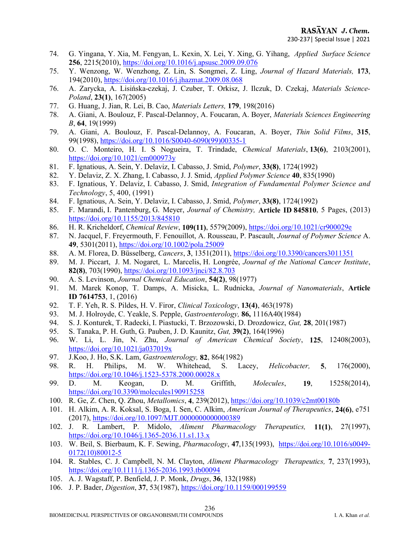- 74. G. Yingana, Y. Xia, M. Fengyan, L. Kexin, X. Lei, Y. Xing, G. Yihang, Applied Surface Science 256, 2215(2010), https://doi.org/10.1016/j.apsusc.2009.09.076
- 75. Y. Wenzong, W. Wenzhong, Z. Lin, S. Songmei, Z. Ling, Journal of Hazard Materials, 173, 194(2010), https://doi.org/10.1016/j.jhazmat.2009.08.068
- 76. A. Zarycka, A. Lisińska-czekaj, J. Czuber, T. Orkisz, J. Ilczuk, D. Czekaj, Materials Science-Poland, 23(1), 167(2005)
- 77. G. Huang, J. Jian, R. Lei, B. Cao, Materials Letters, 179, 198(2016)
- 78. A. Giani, A. Boulouz, F. Pascal-Delannoy, A. Foucaran, A. Boyer, Materials Sciences Engineering B, 64, 19(1999)
- 79. A. Giani, A. Boulouz, F. Pascal-Delannoy, A. Foucaran, A. Boyer, Thin Solid Films, 315, 99(1998), https://doi.org/10.1016/S0040-6090(99)00335-1
- 80. O. C. Monteiro, H. I. S Nogueira, T. Trindade, Chemical Materials, 13(6), 2103(2001), https://doi.org/10.1021/cm000973y
- 81. F. Ignatious, A. Sein, Y. Delaviz, I. Cabasso, J. Smid, Polymer, 33(8), 1724(1992)
- 82. Y. Delaviz, Z. X. Zhang, I. Cabasso, J. J. Smid, Applied Polymer Science 40, 835(1990)
- 83. F. Ignatious, Y. Delaviz, I. Cabasso, J. Smid, Integration of Fundamental Polymer Science and Technology, 5, 400, (1991)
- 84. F. Ignatious, A. Sein, Y. Delaviz, I. Cabasso, J. Smid, Polymer, 33(8), 1724(1992)
- 85. F. Marandi, I. Pantenburg, G. Meyer, Journal of Chemistry, Article ID 845810, 5 Pages, (2013) https://doi.org/10.1155/2013/845810
- 86. H. R. Kricheldorf, Chemical Review, 109(11), 5579(2009), https://doi.org/10.1021/cr900029e
- 87. N. Jacquel, F. Freyermouth, F. Fenouillot, A. Rousseau, P. Pascault, Journal of Polymer Science A. 49, 5301(2011), https://doi.org/10.1002/pola.25009
- 88. A. M. Florea, D. Büsselberg, Cancers, 3, 1351(2011), https://doi.org/10.3390/cancers3011351
- 89. M. J. Piccart, J. M. Nogaret, L. Marcelis, H. Longrée, *Journal of the National Cancer Institute*, 82(8), 703(1990), https://doi.org/10.1093/jnci/82.8.703
- 90. A. S. Levinson, Journal Chemical Education, 54(2), 98(1977)
- 91. M. Marek Konop, T. Damps, A. Misicka, L. Rudnicka, Journal of Nanomaterials, Article ID 7614753, 1, (2016)
- 92. T. F. Yeh, R. S. Pildes, H. V. Firor, Clinical Toxicology, 13(4), 463(1978)
- 93. M. J. Holroyde, C. Yeakle, S. Pepple, Gastroenterology, 86, 1116A40(1984)
- 94. S. J. Konturek, T. Radecki, I. Piastucki, T. Brzozowski, D. Drozdowicz, Gut, 28, 201(1987)
- 95. S. Tanaka, P. H. Guth, G. Pauben, J. D. Kaunitz, Gut, 39(2), 164(1996)
- 96. W. Li, L. Jin, N. Zhu, Journal of American Chemical Society, 125, 12408(2003), https://doi.org/10.1021/ja037019x
- 97. J.Koo, J. Ho, S.K. Lam, Gastroenterology, 82, 864(1982)
- 98. R. H. Philips, M. W. Whitehead, S. Lacey, Helicobacter, 5, 176(2000), https://doi.org/10.1046/j.1523-5378.2000.00028.x
- 99. D. M. Keogan, D. M. Griffith, Molecules, 19, 15258(2014), https://doi.org/10.3390/molecules190915258
- 100. R. Ge, Z. Chen, Q. Zhou, Metallomics, 4, 239(2012), https://doi.org/10.1039/c2mt00180b
- 101. H. Alkim, A. R. Koksal, S. Boga, I. Sen, C. Alkim, American Journal of Therapeutics, 24(6), e751 (2017), https://doi.org/10.1097/MJT.0000000000000389
- 102. J. R. Lambert, P. Midolo, Aliment Pharmacology Therapeutics, 11(1), 27(1997), https://doi.org/10.1046/j.1365-2036.11.s1.13.x
- 103. W. Beil, S. Bierbaum, K. F. Sewing, Pharmacology, 47,135(1993), https://doi.org/10.1016/s0049- 0172(10)80012-5
- 104. R. Stables, C. J. Campbell, N. M. Clayton, Aliment Pharmacology Therapeutics, 7, 237(1993), https://doi.org/10.1111/j.1365-2036.1993.tb00094
- 105. A. J. Wagstaff, P. Benfield, J. P. Monk, Drugs, 36, 132(1988)
- 106. J. P. Bader, Digestion, 37, 53(1987), https://doi.org/10.1159/000199559